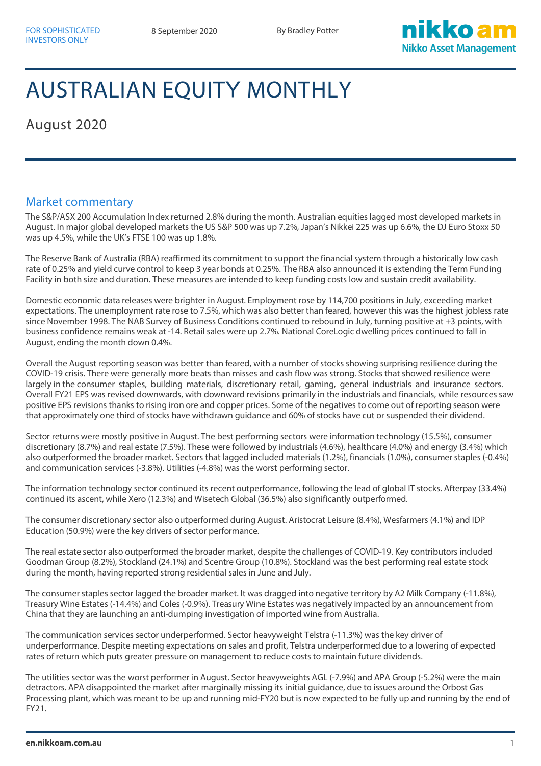

## AUSTRALIAN EQUITY MONTHLY

August 2020

## Market commentary

The S&P/ASX 200 Accumulation Index returned 2.8% during the month. Australian equities lagged most developed markets in August. In major global developed markets the US S&P 500 was up 7.2%, Japan's Nikkei 225 was up 6.6%, the DJ Euro Stoxx 50 was up 4.5%, while the UK's FTSE 100 was up 1.8%.

The Reserve Bank of Australia (RBA) reaffirmed its commitment to support the financial system through a historically low cash rate of 0.25% and yield curve control to keep 3 year bonds at 0.25%. The RBA also announced it is extending the Term Funding Facility in both size and duration. These measures are intended to keep funding costs low and sustain credit availability.

Domestic economic data releases were brighter in August. Employment rose by 114,700 positions in July, exceeding market expectations. The unemployment rate rose to 7.5%, which was also better than feared, however this was the highest jobless rate since November 1998. The NAB Survey of Business Conditions continued to rebound in July, turning positive at +3 points, with business confidence remains weak at -14. Retail sales were up 2.7%. National CoreLogic dwelling prices continued to fall in August, ending the month down 0.4%.

Overall the August reporting season was better than feared, with a number of stocks showing surprising resilience during the COVID-19 crisis. There were generally more beats than misses and cash flow was strong. Stocks that showed resilience were largely in the consumer staples, building materials, discretionary retail, gaming, general industrials and insurance sectors. Overall FY21 EPS was revised downwards, with downward revisions primarily in the industrials and financials, while resources saw positive EPS revisions thanks to rising iron ore and copper prices. Some of the negatives to come out of reporting season were that approximately one third of stocks have withdrawn guidance and 60% of stocks have cut or suspended their dividend.

Sector returns were mostly positive in August. The best performing sectors were information technology (15.5%), consumer discretionary (8.7%) and real estate (7.5%). These were followed by industrials (4.6%), healthcare (4.0%) and energy (3.4%) which also outperformed the broader market. Sectors that lagged included materials (1.2%), financials (1.0%), consumer staples (-0.4%) and communication services (-3.8%). Utilities (-4.8%) was the worst performing sector.

The information technology sector continued its recent outperformance, following the lead of global IT stocks. Afterpay (33.4%) continued its ascent, while Xero (12.3%) and Wisetech Global (36.5%) also significantly outperformed.

The consumer discretionary sector also outperformed during August. Aristocrat Leisure (8.4%), Wesfarmers (4.1%) and IDP Education (50.9%) were the key drivers of sector performance.

The real estate sector also outperformed the broader market, despite the challenges of COVID-19. Key contributors included Goodman Group (8.2%), Stockland (24.1%) and Scentre Group (10.8%). Stockland was the best performing real estate stock during the month, having reported strong residential sales in June and July.

The consumer staples sector lagged the broader market. It was dragged into negative territory by A2 Milk Company (-11.8%), Treasury Wine Estates (-14.4%) and Coles (-0.9%). Treasury Wine Estates was negatively impacted by an announcement from China that they are launching an anti-dumping investigation of imported wine from Australia.

The communication services sector underperformed. Sector heavyweight Telstra (-11.3%) was the key driver of underperformance. Despite meeting expectations on sales and profit, Telstra underperformed due to a lowering of expected rates of return which puts greater pressure on management to reduce costs to maintain future dividends.

The utilities sector was the worst performer in August. Sector heavyweights AGL (-7.9%) and APA Group (-5.2%) were the main detractors. APA disappointed the market after marginally missing its initial guidance, due to issues around the Orbost Gas Processing plant, which was meant to be up and running mid-FY20 but is now expected to be fully up and running by the end of FY21.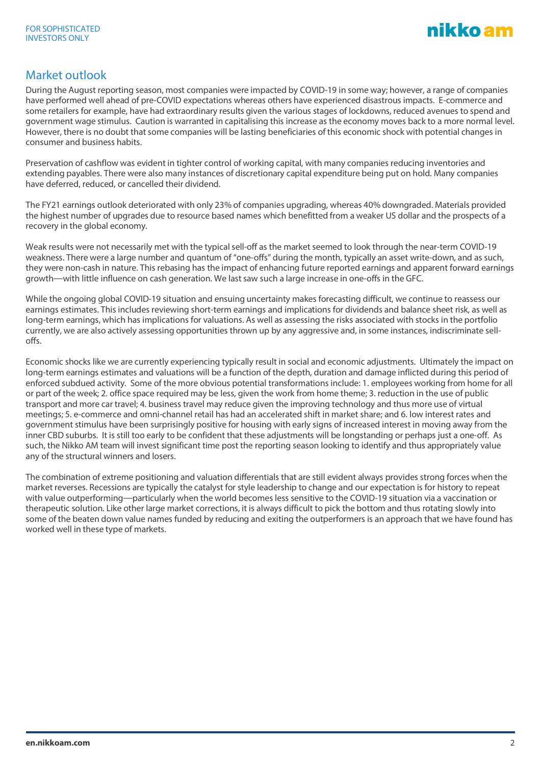

## Market outlook

During the August reporting season, most companies were impacted by COVID-19 in some way; however, a range of companies have performed well ahead of pre-COVID expectations whereas others have experienced disastrous impacts. E-commerce and some retailers for example, have had extraordinary results given the various stages of lockdowns, reduced avenues to spend and government wage stimulus. Caution is warranted in capitalising this increase as the economy moves back to a more normal level. However, there is no doubt that some companies will be lasting beneficiaries of this economic shock with potential changes in consumer and business habits.

Preservation of cashflow was evident in tighter control of working capital, with many companies reducing inventories and extending payables. There were also many instances of discretionary capital expenditure being put on hold. Many companies have deferred, reduced, or cancelled their dividend.

The FY21 earnings outlook deteriorated with only 23% of companies upgrading, whereas 40% downgraded. Materials provided the highest number of upgrades due to resource based names which benefitted from a weaker US dollar and the prospects of a recovery in the global economy.

Weak results were not necessarily met with the typical sell-off as the market seemed to look through the near-term COVID-19 weakness. There were a large number and quantum of "one-offs" during the month, typically an asset write-down, and as such, they were non-cash in nature. This rebasing has the impact of enhancing future reported earnings and apparent forward earnings growth—with little influence on cash generation. We last saw such a large increase in one-offs in the GFC.

While the ongoing global COVID-19 situation and ensuing uncertainty makes forecasting difficult, we continue to reassess our earnings estimates. This includes reviewing short-term earnings and implications for dividends and balance sheet risk, as well as long-term earnings, which has implications for valuations. As well as assessing the risks associated with stocks in the portfolio currently, we are also actively assessing opportunities thrown up by any aggressive and, in some instances, indiscriminate selloffs.

Economic shocks like we are currently experiencing typically result in social and economic adjustments. Ultimately the impact on long-term earnings estimates and valuations will be a function of the depth, duration and damage inflicted during this period of enforced subdued activity. Some of the more obvious potential transformations include: 1. employees working from home for all or part of the week; 2. office space required may be less, given the work from home theme; 3. reduction in the use of public transport and more car travel; 4. business travel may reduce given the improving technology and thus more use of virtual meetings; 5. e-commerce and omni-channel retail has had an accelerated shift in market share; and 6. low interest rates and government stimulus have been surprisingly positive for housing with early signs of increased interest in moving away from the inner CBD suburbs. It is still too early to be confident that these adjustments will be longstanding or perhaps just a one-off. As such, the Nikko AM team will invest significant time post the reporting season looking to identify and thus appropriately value any of the structural winners and losers.

The combination of extreme positioning and valuation differentials that are still evident always provides strong forces when the market reverses. Recessions are typically the catalyst for style leadership to change and our expectation is for history to repeat with value outperforming—particularly when the world becomes less sensitive to the COVID-19 situation via a vaccination or therapeutic solution. Like other large market corrections, it is always difficult to pick the bottom and thus rotating slowly into some of the beaten down value names funded by reducing and exiting the outperformers is an approach that we have found has worked well in these type of markets.